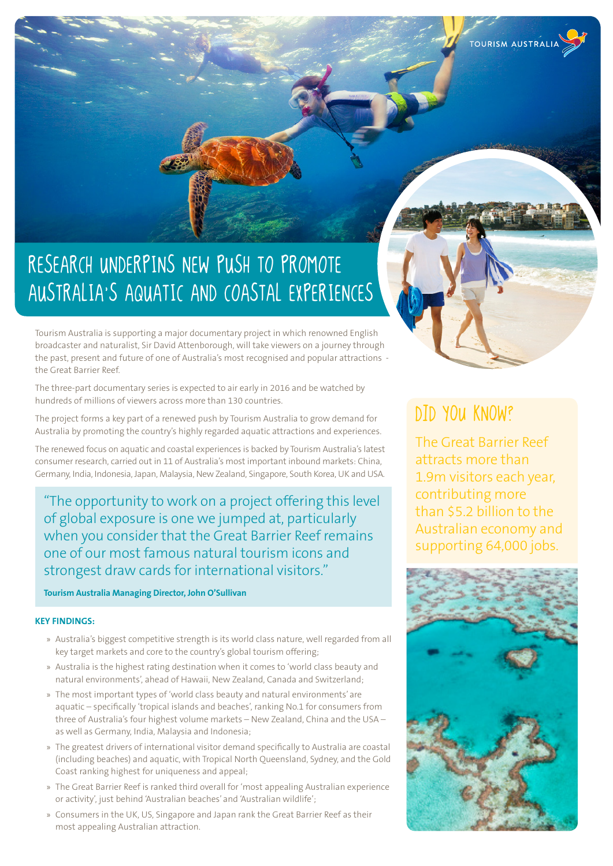# RESEARCH UNDERPINS NEW PUSH TO PROMOTE AUSTRALIA'S AQUATIC AND COASTAL EXPERIENCES

Tourism Australia is supporting a major documentary project in which renowned English broadcaster and naturalist, Sir David Attenborough, will take viewers on a journey through the past, present and future of one of Australia's most recognised and popular attractions the Great Barrier Reef.

The three-part documentary series is expected to air early in 2016 and be watched by hundreds of millions of viewers across more than 130 countries.

The project forms a key part of a renewed push by Tourism Australia to grow demand for Australia by promoting the country's highly regarded aquatic attractions and experiences.

The renewed focus on aquatic and coastal experiences is backed by Tourism Australia's latest consumer research, carried out in 11 of Australia's most important inbound markets: China, Germany, India, Indonesia, Japan, Malaysia, New Zealand, Singapore, South Korea, UK and USA.

"The opportunity to work on a project offering this level of global exposure is one we jumped at, particularly when you consider that the Great Barrier Reef remains one of our most famous natural tourism icons and strongest draw cards for international visitors."

## **Tourism Australia Managing Director, John O'Sullivan**

### **KEY FINDINGS:**

- » Australia's biggest competitive strength is its world class nature, well regarded from all key target markets and core to the country's global tourism offering;
- » Australia is the highest rating destination when it comes to 'world class beauty and natural environments', ahead of Hawaii, New Zealand, Canada and Switzerland;
- » The most important types of 'world class beauty and natural environments' are aquatic – specifically 'tropical islands and beaches', ranking No.1 for consumers from three of Australia's four highest volume markets – New Zealand, China and the USA – as well as Germany, India, Malaysia and Indonesia;
- » The greatest drivers of international visitor demand specifically to Australia are coastal (including beaches) and aquatic, with Tropical North Queensland, Sydney, and the Gold Coast ranking highest for uniqueness and appeal;
- » The Great Barrier Reef is ranked third overall for 'most appealing Australian experience or activity', just behind 'Australian beaches' and 'Australian wildlife';
- » Consumers in the UK, US, Singapore and Japan rank the Great Barrier Reef as their most appealing Australian attraction.

# Did you know?

The Great Barrier Reef attracts more than 1.9m visitors each year, contributing more than \$5.2 billion to the Australian economy and supporting 64,000 jobs.